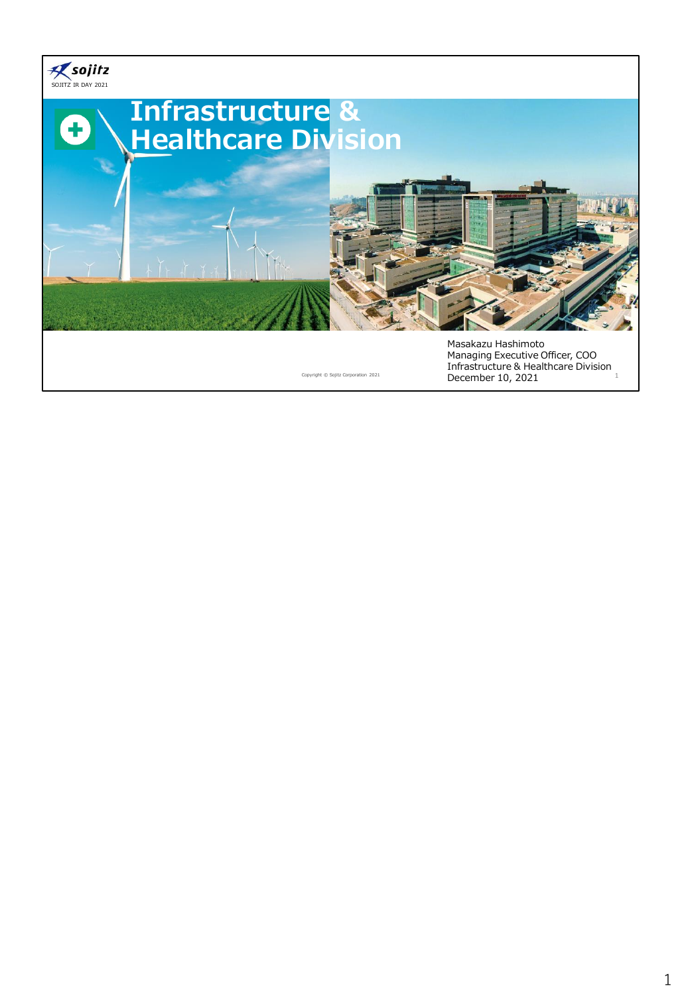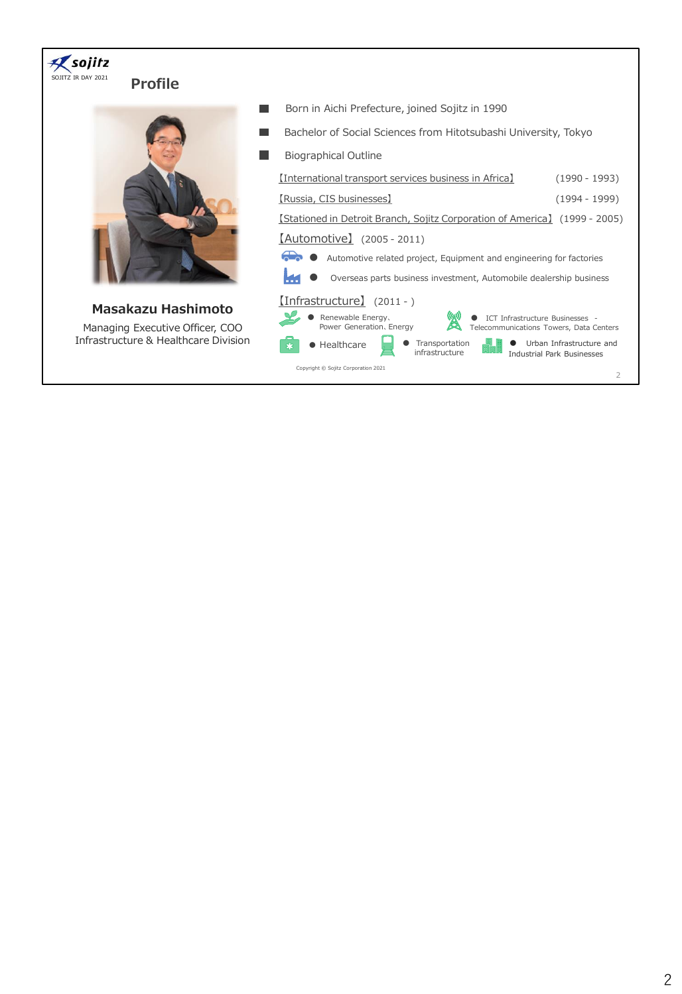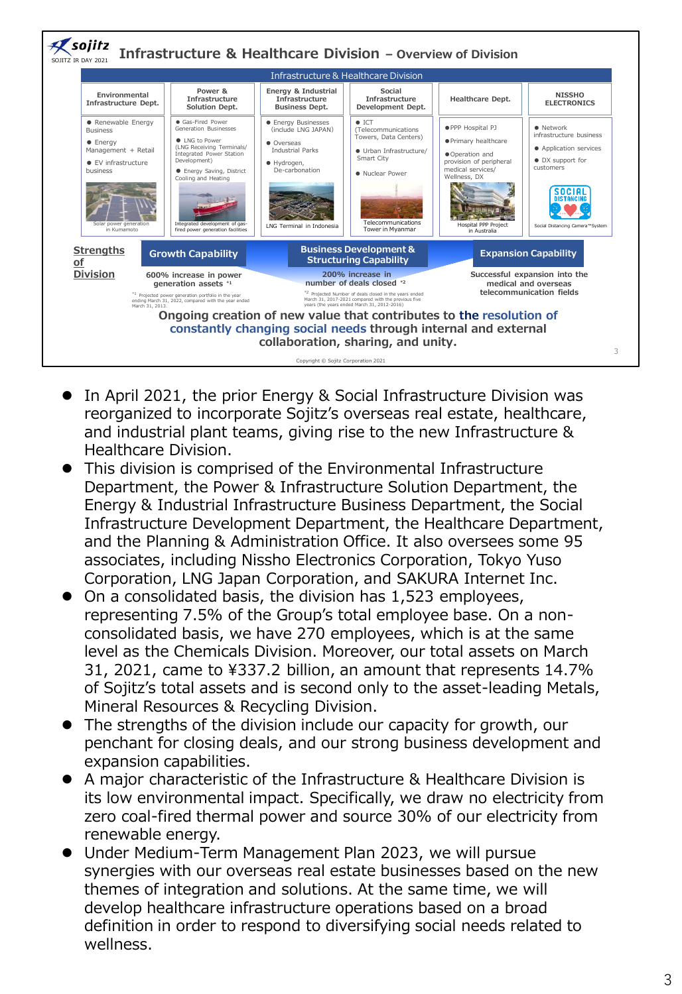

- In April 2021, the prior Energy & Social Infrastructure Division was reorganized to incorporate Sojitz's overseas real estate, healthcare, and industrial plant teams, giving rise to the new Infrastructure & Healthcare Division.
- ⚫ This division is comprised of the Environmental Infrastructure Department, the Power & Infrastructure Solution Department, the Energy & Industrial Infrastructure Business Department, the Social Infrastructure Development Department, the Healthcare Department, and the Planning & Administration Office. It also oversees some 95 associates, including Nissho Electronics Corporation, Tokyo Yuso Corporation, LNG Japan Corporation, and SAKURA Internet Inc.
- ⚫ On a consolidated basis, the division has 1,523 employees, representing 7.5% of the Group's total employee base. On a nonconsolidated basis, we have 270 employees, which is at the same level as the Chemicals Division. Moreover, our total assets on March 31, 2021, came to ¥337.2 billion, an amount that represents 14.7% of Sojitz's total assets and is second only to the asset-leading Metals, Mineral Resources & Recycling Division.
- The strengths of the division include our capacity for growth, our penchant for closing deals, and our strong business development and expansion capabilities.
- A major characteristic of the Infrastructure & Healthcare Division is its low environmental impact. Specifically, we draw no electricity from zero coal-fired thermal power and source 30% of our electricity from renewable energy.
- ⚫ Under Medium-Term Management Plan 2023, we will pursue synergies with our overseas real estate businesses based on the new themes of integration and solutions. At the same time, we will develop healthcare infrastructure operations based on a broad definition in order to respond to diversifying social needs related to wellness.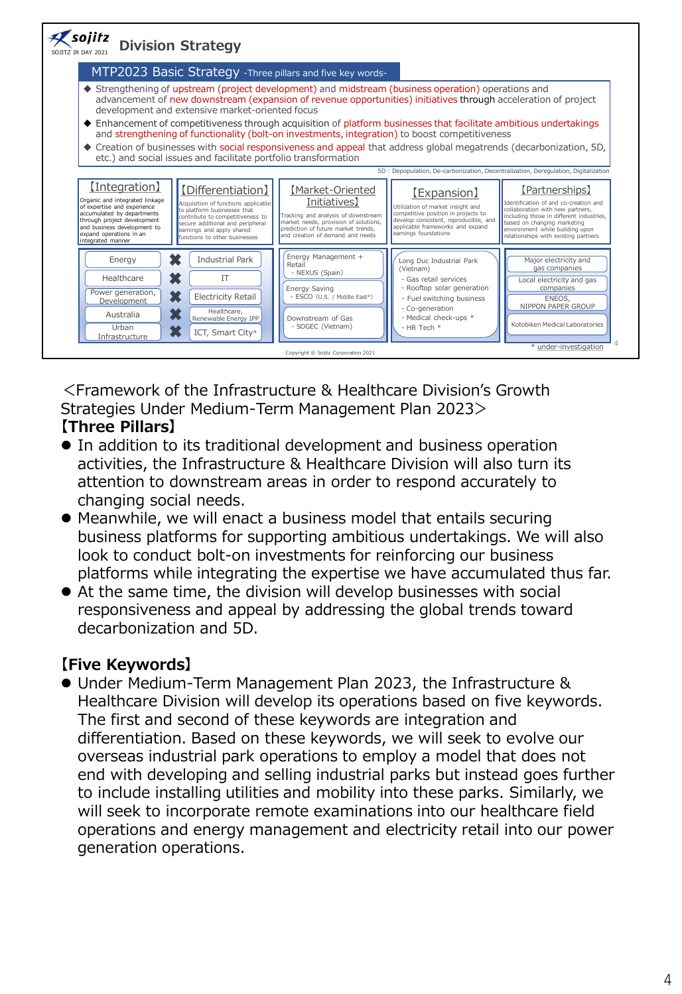

<Framework of the Infrastructure & Healthcare Division's Growth Strategies Under Medium-Term Management Plan 2023> **【Three Pillars】**

- ⚫ In addition to its traditional development and business operation activities, the Infrastructure & Healthcare Division will also turn its attention to downstream areas in order to respond accurately to changing social needs.
- ⚫ Meanwhile, we will enact a business model that entails securing business platforms for supporting ambitious undertakings. We will also look to conduct bolt-on investments for reinforcing our business platforms while integrating the expertise we have accumulated thus far.
- ⚫ At the same time, the division will develop businesses with social responsiveness and appeal by addressing the global trends toward decarbonization and 5D.

# **【Five Keywords】**

⚫ Under Medium-Term Management Plan 2023, the Infrastructure & Healthcare Division will develop its operations based on five keywords. The first and second of these keywords are integration and differentiation. Based on these keywords, we will seek to evolve our overseas industrial park operations to employ a model that does not end with developing and selling industrial parks but instead goes further to include installing utilities and mobility into these parks. Similarly, we will seek to incorporate remote examinations into our healthcare field operations and energy management and electricity retail into our power generation operations.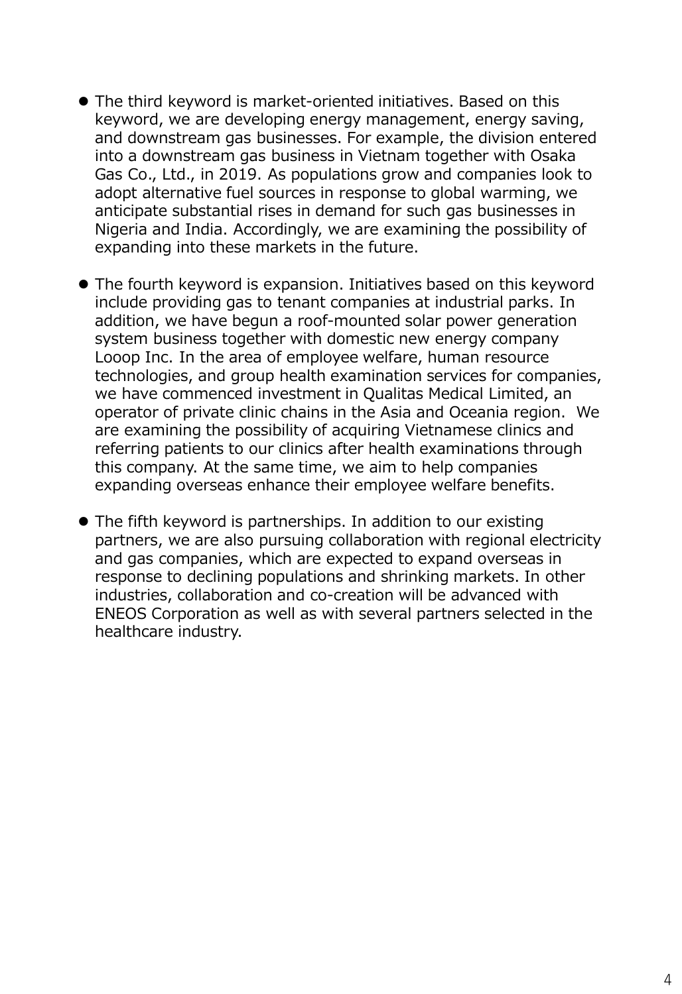- ⚫ The third keyword is market-oriented initiatives. Based on this keyword, we are developing energy management, energy saving, and downstream gas businesses. For example, the division entered into a downstream gas business in Vietnam together with Osaka Gas Co., Ltd., in 2019. As populations grow and companies look to adopt alternative fuel sources in response to global warming, we anticipate substantial rises in demand for such gas businesses in Nigeria and India. Accordingly, we are examining the possibility of expanding into these markets in the future.
- ⚫ The fourth keyword is expansion. Initiatives based on this keyword include providing gas to tenant companies at industrial parks. In addition, we have begun a roof-mounted solar power generation system business together with domestic new energy company Looop Inc. In the area of employee welfare, human resource technologies, and group health examination services for companies, we have commenced investment in Qualitas Medical Limited, an operator of private clinic chains in the Asia and Oceania region. We are examining the possibility of acquiring Vietnamese clinics and referring patients to our clinics after health examinations through this company. At the same time, we aim to help companies expanding overseas enhance their employee welfare benefits.
- ⚫ The fifth keyword is partnerships. In addition to our existing partners, we are also pursuing collaboration with regional electricity and gas companies, which are expected to expand overseas in response to declining populations and shrinking markets. In other industries, collaboration and co-creation will be advanced with ENEOS Corporation as well as with several partners selected in the healthcare industry.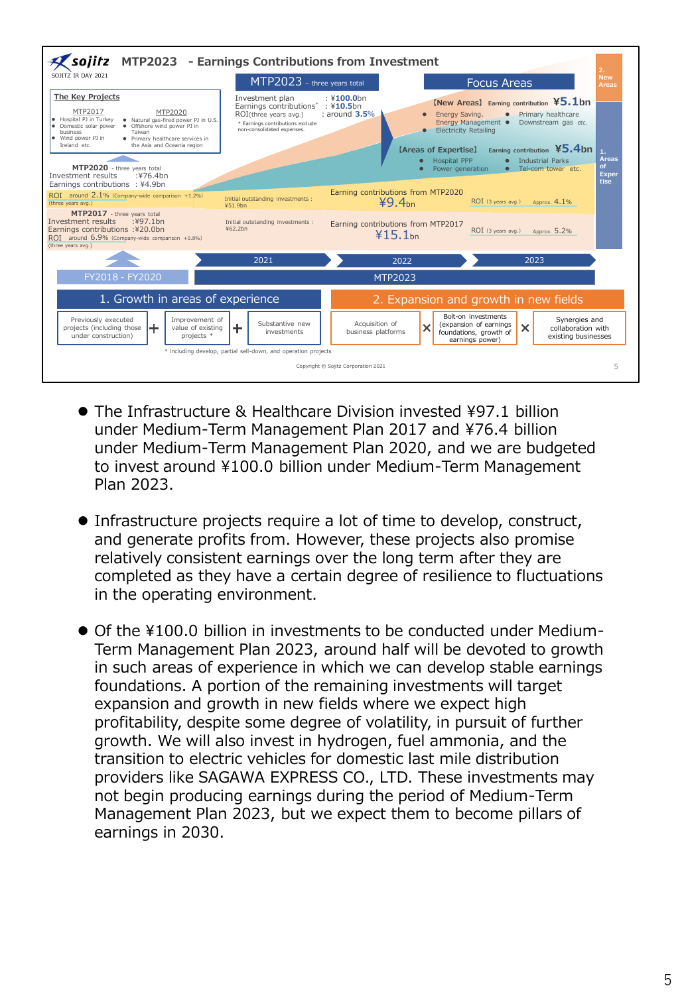

- The Infrastructure & Healthcare Division invested ¥97.1 billion under Medium-Term Management Plan 2017 and ¥76.4 billion under Medium-Term Management Plan 2020, and we are budgeted to invest around ¥100.0 billion under Medium-Term Management Plan 2023.
- ⚫ Infrastructure projects require a lot of time to develop, construct, and generate profits from. However, these projects also promise relatively consistent earnings over the long term after they are completed as they have a certain degree of resilience to fluctuations in the operating environment.
- Of the ¥100.0 billion in investments to be conducted under Medium-Term Management Plan 2023, around half will be devoted to growth in such areas of experience in which we can develop stable earnings foundations. A portion of the remaining investments will target expansion and growth in new fields where we expect high profitability, despite some degree of volatility, in pursuit of further growth. We will also invest in hydrogen, fuel ammonia, and the transition to electric vehicles for domestic last mile distribution providers like SAGAWA EXPRESS CO., LTD. These investments may not begin producing earnings during the period of Medium-Term Management Plan 2023, but we expect them to become pillars of earnings in 2030.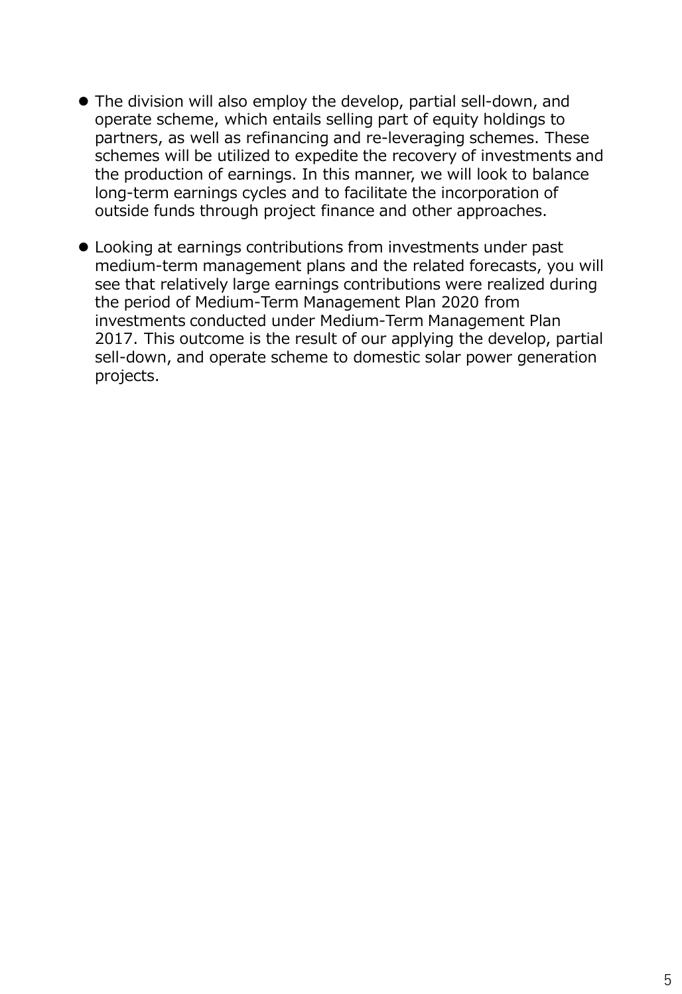- ⚫ The division will also employ the develop, partial sell-down, and operate scheme, which entails selling part of equity holdings to partners, as well as refinancing and re-leveraging schemes. These schemes will be utilized to expedite the recovery of investments and the production of earnings. In this manner, we will look to balance long-term earnings cycles and to facilitate the incorporation of outside funds through project finance and other approaches.
- ⚫ Looking at earnings contributions from investments under past medium-term management plans and the related forecasts, you will see that relatively large earnings contributions were realized during the period of Medium-Term Management Plan 2020 from investments conducted under Medium-Term Management Plan 2017. This outcome is the result of our applying the develop, partial sell-down, and operate scheme to domestic solar power generation projects.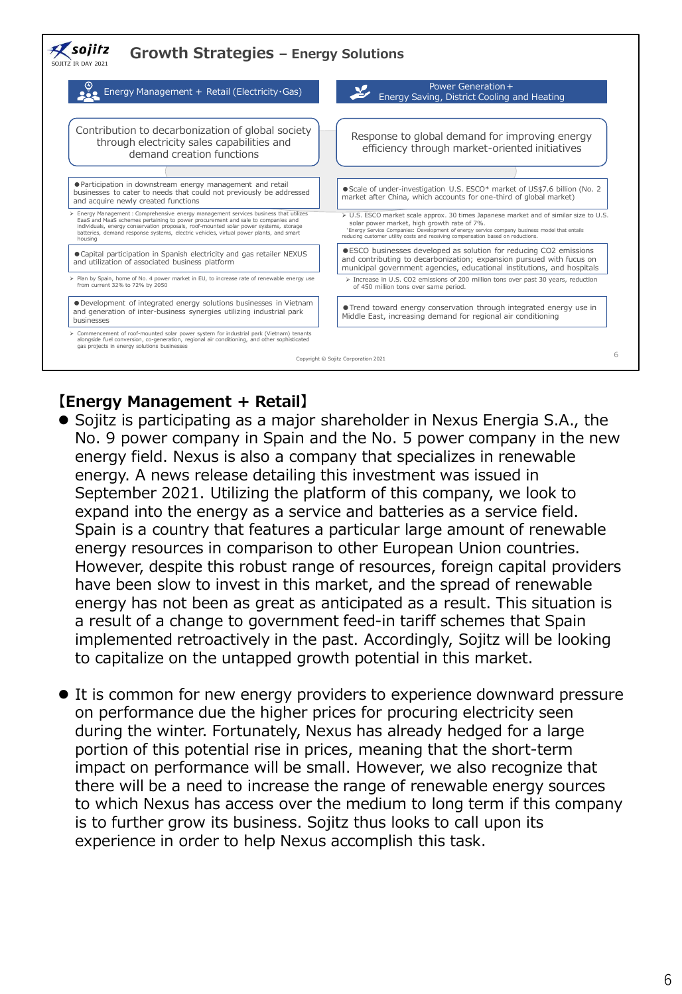

# **【Energy Management + Retail】**

- ⚫ Sojitz is participating as a major shareholder in Nexus Energia S.A., the No. 9 power company in Spain and the No. 5 power company in the new energy field. Nexus is also a company that specializes in renewable energy. A news release detailing this investment was issued in September 2021. Utilizing the platform of this company, we look to expand into the energy as a service and batteries as a service field. Spain is a country that features a particular large amount of renewable energy resources in comparison to other European Union countries. However, despite this robust range of resources, foreign capital providers have been slow to invest in this market, and the spread of renewable energy has not been as great as anticipated as a result. This situation is a result of a change to government feed-in tariff schemes that Spain implemented retroactively in the past. Accordingly, Sojitz will be looking to capitalize on the untapped growth potential in this market.
- ⚫ It is common for new energy providers to experience downward pressure on performance due the higher prices for procuring electricity seen during the winter. Fortunately, Nexus has already hedged for a large portion of this potential rise in prices, meaning that the short-term impact on performance will be small. However, we also recognize that there will be a need to increase the range of renewable energy sources to which Nexus has access over the medium to long term if this company is to further grow its business. Sojitz thus looks to call upon its experience in order to help Nexus accomplish this task.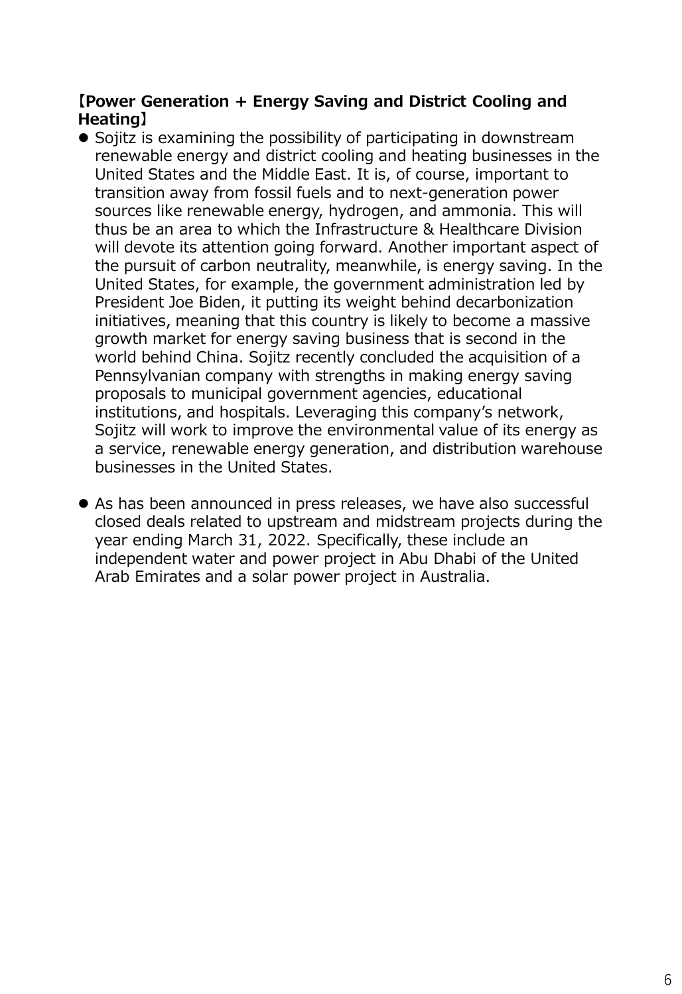### **【Power Generation + Energy Saving and District Cooling and Heating】**

- ⚫ Sojitz is examining the possibility of participating in downstream renewable energy and district cooling and heating businesses in the United States and the Middle East. It is, of course, important to transition away from fossil fuels and to next-generation power sources like renewable energy, hydrogen, and ammonia. This will thus be an area to which the Infrastructure & Healthcare Division will devote its attention going forward. Another important aspect of the pursuit of carbon neutrality, meanwhile, is energy saving. In the United States, for example, the government administration led by President Joe Biden, it putting its weight behind decarbonization initiatives, meaning that this country is likely to become a massive growth market for energy saving business that is second in the world behind China. Sojitz recently concluded the acquisition of a Pennsylvanian company with strengths in making energy saving proposals to municipal government agencies, educational institutions, and hospitals. Leveraging this company's network, Sojitz will work to improve the environmental value of its energy as a service, renewable energy generation, and distribution warehouse businesses in the United States.
- ⚫ As has been announced in press releases, we have also successful closed deals related to upstream and midstream projects during the year ending March 31, 2022. Specifically, these include an independent water and power project in Abu Dhabi of the United Arab Emirates and a solar power project in Australia.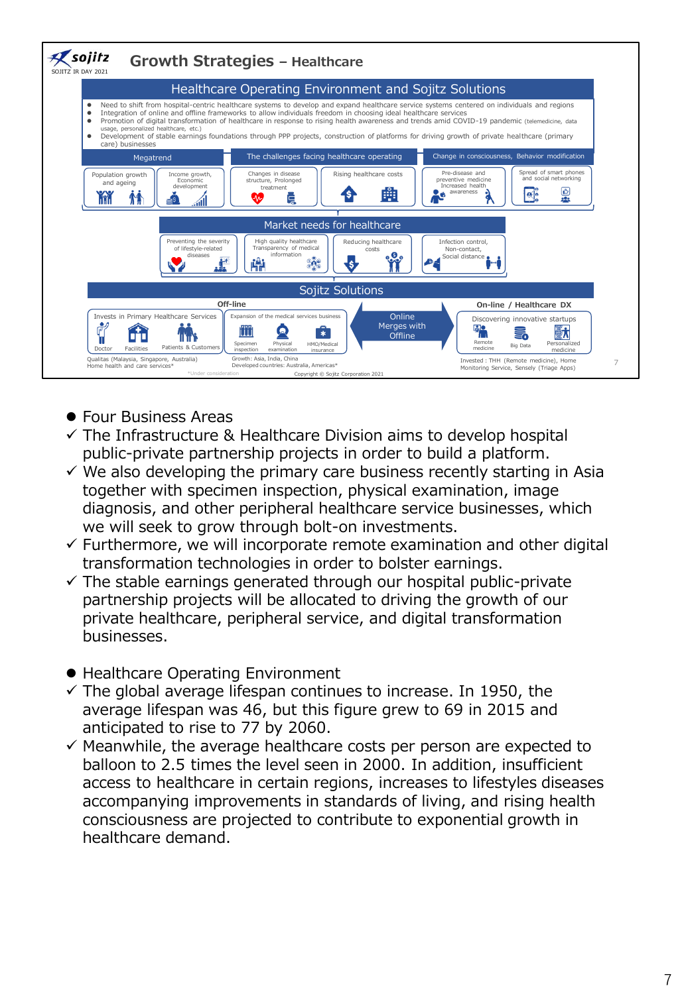

- ⚫ Four Business Areas
- $\checkmark$  The Infrastructure & Healthcare Division aims to develop hospital public-private partnership projects in order to build a platform.
- $\checkmark$  We also developing the primary care business recently starting in Asia together with specimen inspection, physical examination, image diagnosis, and other peripheral healthcare service businesses, which we will seek to grow through bolt-on investments.
- $\checkmark$  Furthermore, we will incorporate remote examination and other digital transformation technologies in order to bolster earnings.
- $\checkmark$  The stable earnings generated through our hospital public-private partnership projects will be allocated to driving the growth of our private healthcare, peripheral service, and digital transformation businesses.
- Healthcare Operating Environment
- $\checkmark$  The global average lifespan continues to increase. In 1950, the average lifespan was 46, but this figure grew to 69 in 2015 and anticipated to rise to 77 by 2060.
- $\checkmark$  Meanwhile, the average healthcare costs per person are expected to balloon to 2.5 times the level seen in 2000. In addition, insufficient access to healthcare in certain regions, increases to lifestyles diseases accompanying improvements in standards of living, and rising health consciousness are projected to contribute to exponential growth in healthcare demand.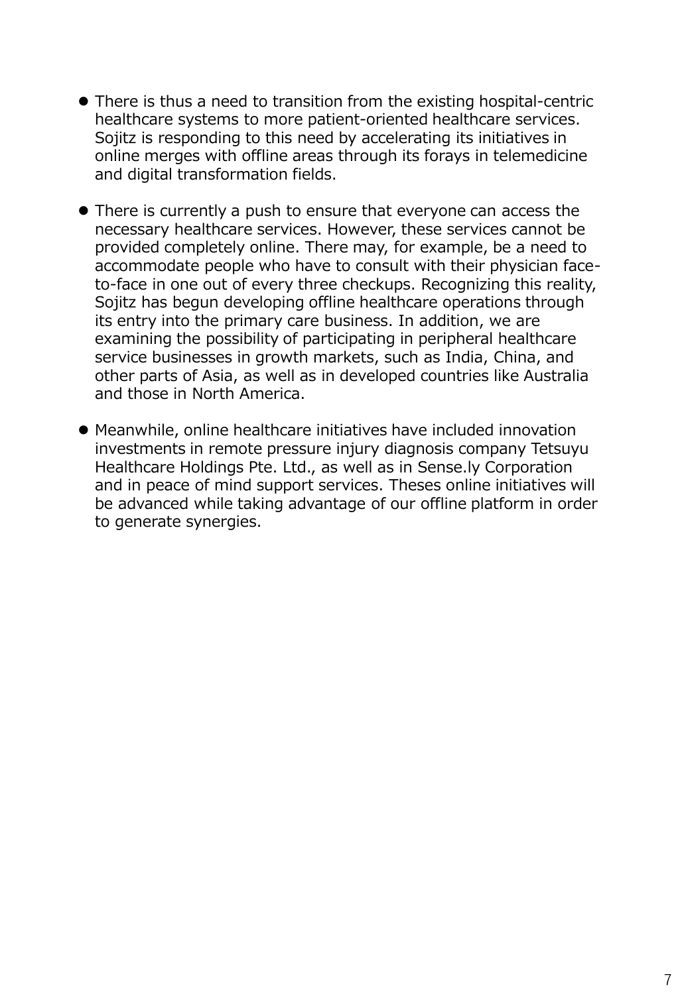- ⚫ There is thus a need to transition from the existing hospital-centric healthcare systems to more patient-oriented healthcare services. Sojitz is responding to this need by accelerating its initiatives in online merges with offline areas through its forays in telemedicine and digital transformation fields.
- ⚫ There is currently a push to ensure that everyone can access the necessary healthcare services. However, these services cannot be provided completely online. There may, for example, be a need to accommodate people who have to consult with their physician faceto-face in one out of every three checkups. Recognizing this reality, Sojitz has begun developing offline healthcare operations through its entry into the primary care business. In addition, we are examining the possibility of participating in peripheral healthcare service businesses in growth markets, such as India, China, and other parts of Asia, as well as in developed countries like Australia and those in North America.
- ⚫ Meanwhile, online healthcare initiatives have included innovation investments in remote pressure injury diagnosis company Tetsuyu Healthcare Holdings Pte. Ltd., as well as in Sense.ly Corporation and in peace of mind support services. Theses online initiatives will be advanced while taking advantage of our offline platform in order to generate synergies.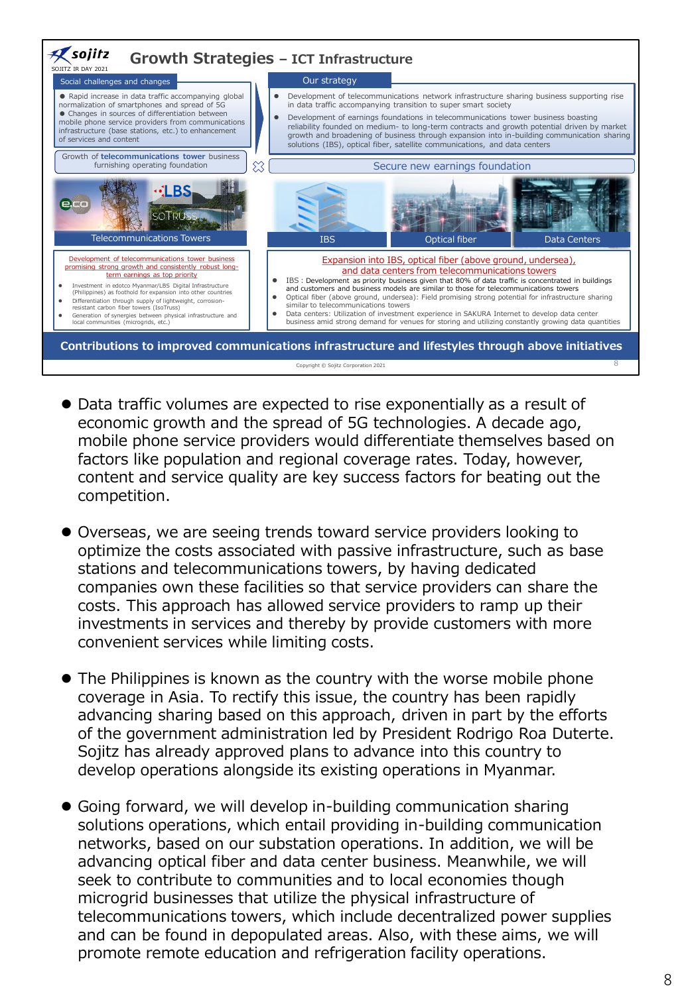

- ⚫ Data traffic volumes are expected to rise exponentially as a result of economic growth and the spread of 5G technologies. A decade ago, mobile phone service providers would differentiate themselves based on factors like population and regional coverage rates. Today, however, content and service quality are key success factors for beating out the competition.
- ⚫ Overseas, we are seeing trends toward service providers looking to optimize the costs associated with passive infrastructure, such as base stations and telecommunications towers, by having dedicated companies own these facilities so that service providers can share the costs. This approach has allowed service providers to ramp up their investments in services and thereby by provide customers with more convenient services while limiting costs.
- ⚫ The Philippines is known as the country with the worse mobile phone coverage in Asia. To rectify this issue, the country has been rapidly advancing sharing based on this approach, driven in part by the efforts of the government administration led by President Rodrigo Roa Duterte. Sojitz has already approved plans to advance into this country to develop operations alongside its existing operations in Myanmar.
- ⚫ Going forward, we will develop in-building communication sharing solutions operations, which entail providing in-building communication networks, based on our substation operations. In addition, we will be advancing optical fiber and data center business. Meanwhile, we will seek to contribute to communities and to local economies though microgrid businesses that utilize the physical infrastructure of telecommunications towers, which include decentralized power supplies and can be found in depopulated areas. Also, with these aims, we will promote remote education and refrigeration facility operations.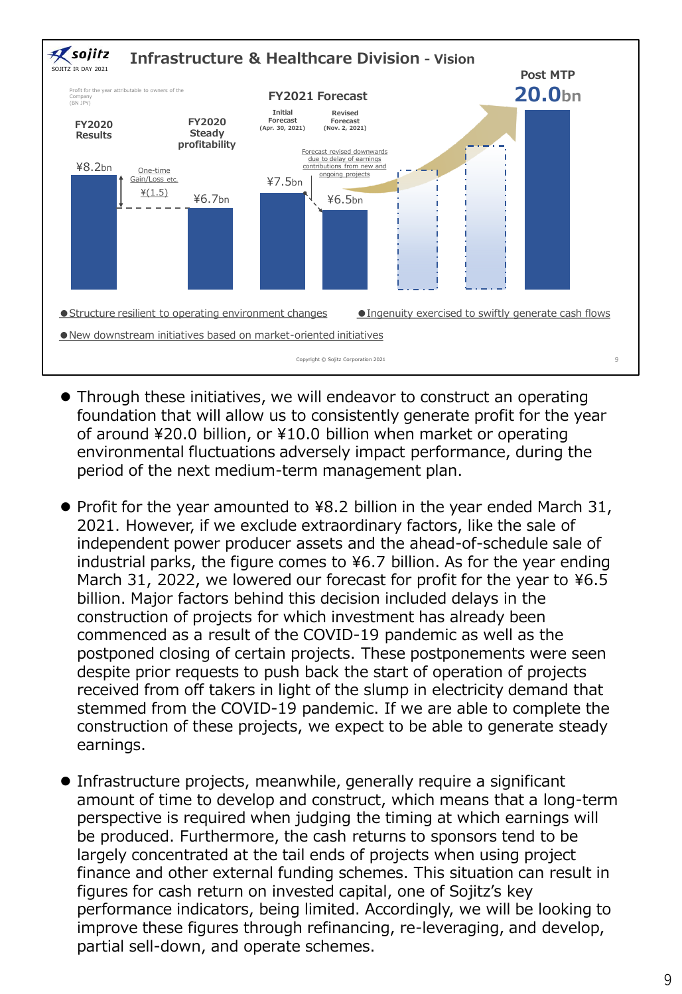

- ⚫ Through these initiatives, we will endeavor to construct an operating foundation that will allow us to consistently generate profit for the year of around ¥20.0 billion, or ¥10.0 billion when market or operating environmental fluctuations adversely impact performance, during the period of the next medium-term management plan.
- Profit for the year amounted to ¥8.2 billion in the year ended March 31, 2021. However, if we exclude extraordinary factors, like the sale of independent power producer assets and the ahead-of-schedule sale of industrial parks, the figure comes to ¥6.7 billion. As for the year ending March 31, 2022, we lowered our forecast for profit for the year to ¥6.5 billion. Major factors behind this decision included delays in the construction of projects for which investment has already been commenced as a result of the COVID-19 pandemic as well as the postponed closing of certain projects. These postponements were seen despite prior requests to push back the start of operation of projects received from off takers in light of the slump in electricity demand that stemmed from the COVID-19 pandemic. If we are able to complete the construction of these projects, we expect to be able to generate steady earnings.
- ⚫ Infrastructure projects, meanwhile, generally require a significant amount of time to develop and construct, which means that a long-term perspective is required when judging the timing at which earnings will be produced. Furthermore, the cash returns to sponsors tend to be largely concentrated at the tail ends of projects when using project finance and other external funding schemes. This situation can result in figures for cash return on invested capital, one of Sojitz's key performance indicators, being limited. Accordingly, we will be looking to improve these figures through refinancing, re-leveraging, and develop, partial sell-down, and operate schemes.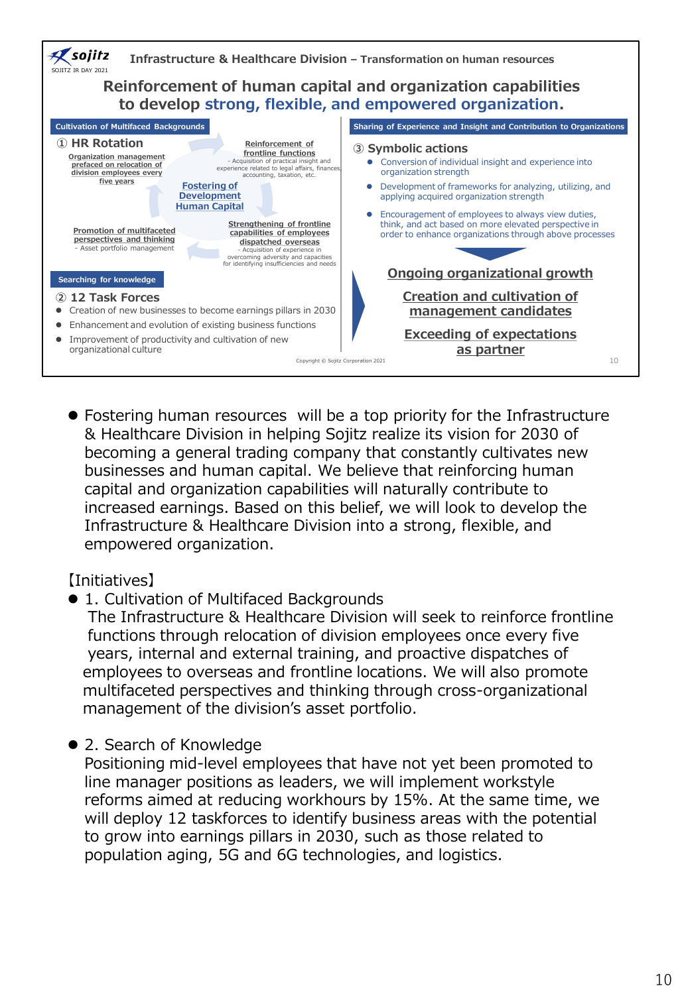

⚫ Fostering human resources will be a top priority for the Infrastructure & Healthcare Division in helping Sojitz realize its vision for 2030 of becoming a general trading company that constantly cultivates new businesses and human capital. We believe that reinforcing human capital and organization capabilities will naturally contribute to increased earnings. Based on this belief, we will look to develop the Infrastructure & Healthcare Division into a strong, flexible, and empowered organization.

#### 【Initiatives】

● 1. Cultivation of Multifaced Backgrounds

The Infrastructure & Healthcare Division will seek to reinforce frontline functions through relocation of division employees once every five years, internal and external training, and proactive dispatches of employees to overseas and frontline locations. We will also promote multifaceted perspectives and thinking through cross-organizational management of the division's asset portfolio.

● 2. Search of Knowledge

Positioning mid-level employees that have not yet been promoted to line manager positions as leaders, we will implement workstyle reforms aimed at reducing workhours by 15%. At the same time, we will deploy 12 taskforces to identify business areas with the potential to grow into earnings pillars in 2030, such as those related to population aging, 5G and 6G technologies, and logistics.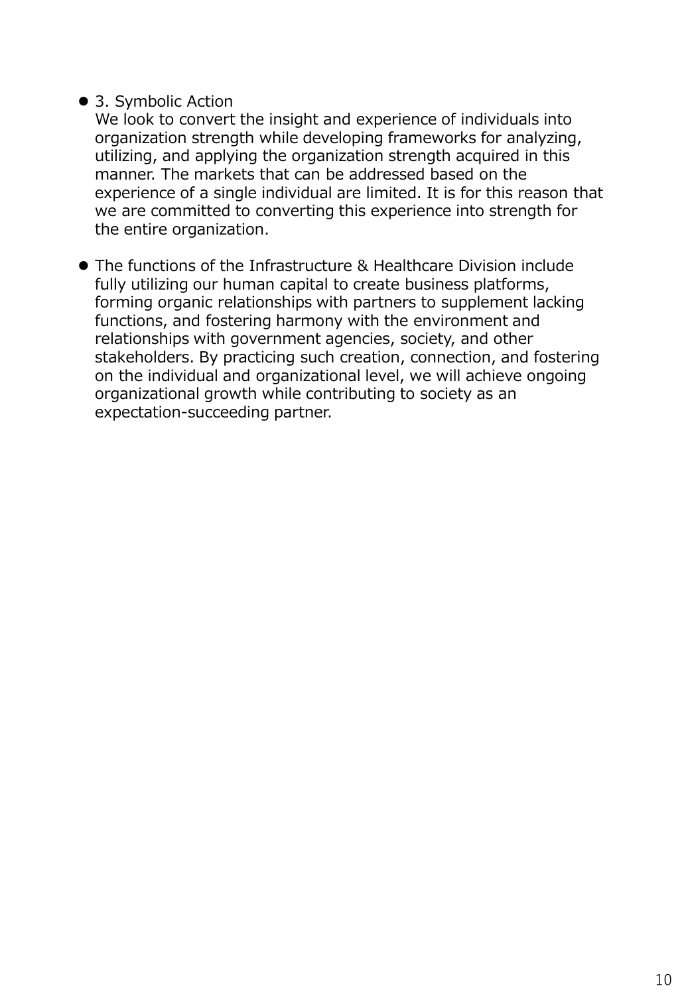## ● 3. Symbolic Action

We look to convert the insight and experience of individuals into organization strength while developing frameworks for analyzing, utilizing, and applying the organization strength acquired in this manner. The markets that can be addressed based on the experience of a single individual are limited. It is for this reason that we are committed to converting this experience into strength for the entire organization.

⚫ The functions of the Infrastructure & Healthcare Division include fully utilizing our human capital to create business platforms, forming organic relationships with partners to supplement lacking functions, and fostering harmony with the environment and relationships with government agencies, society, and other stakeholders. By practicing such creation, connection, and fostering on the individual and organizational level, we will achieve ongoing organizational growth while contributing to society as an expectation-succeeding partner.